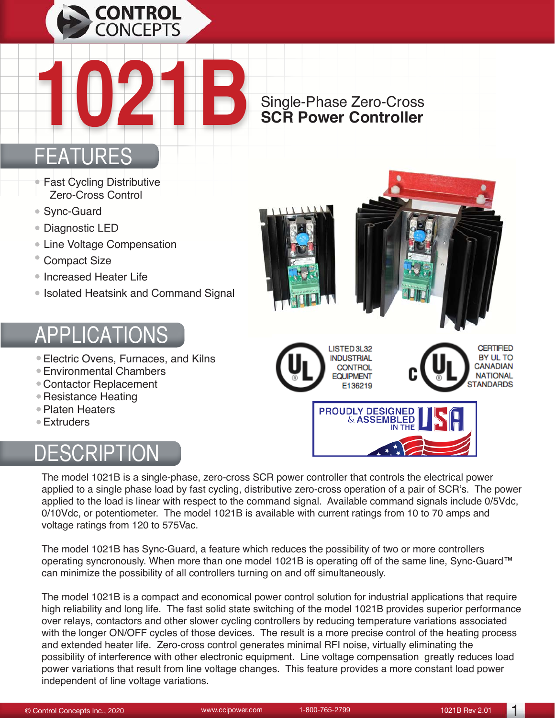

# Single-Phase Zero-Cross **1021B SCR Power Controller**

#### ATURES

- Fast Cycling Distributive Zero-Cross Control
- Sync-Guard
- Diagnostic LED
- Line Voltage Compensation
- Compact Size
- Increased Heater Life
- Isolated Heatsink and Command Signal

### **APPLICATI**

- Electric Ovens, Furnaces, and Kilns
- Environmental Chambers
- Contactor Replacement
- Resistance Heating
- Platen Heaters
- Extruders

# DESCRIPTION











The model 1021B is a single-phase, zero-cross SCR power controller that controls the electrical power applied to a single phase load by fast cycling, distributive zero-cross operation of a pair of SCR's. The power applied to the load is linear with respect to the command signal. Available command signals include 0/5Vdc, 0/10Vdc, or potentiometer. The model 1021B is available with current ratings from 10 to 70 amps and voltage ratings from 120 to 575Vac.

The model 1021B has Sync-Guard, a feature which reduces the possibility of two or more controllers operating syncronously. When more than one model 1021B is operating off of the same line, Sync-Guard™ can minimize the possibility of all controllers turning on and off simultaneously.

The model 1021B is a compact and economical power control solution for industrial applications that require high reliability and long life. The fast solid state switching of the model 1021B provides superior performance over relays, contactors and other slower cycling controllers by reducing temperature variations associated with the longer ON/OFF cycles of those devices. The result is a more precise control of the heating process and extended heater life. Zero-cross control generates minimal RFI noise, virtually eliminating the possibility of interference with other electronic equipment. Line voltage compensation greatly reduces load power variations that result from line voltage changes. This feature provides a more constant load power independent of line voltage variations.